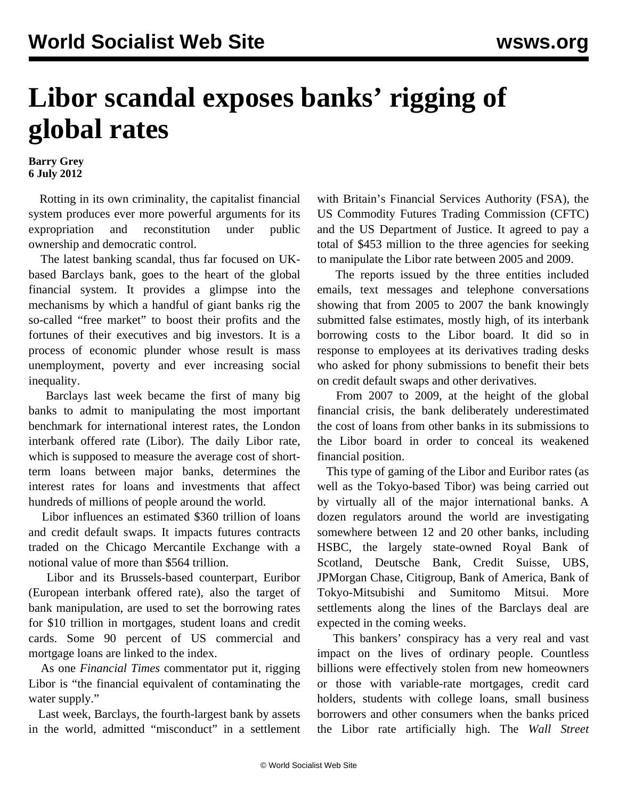## **Libor scandal exposes banks' rigging of global rates**

**Barry Grey 6 July 2012**

 Rotting in its own criminality, the capitalist financial system produces ever more powerful arguments for its expropriation and reconstitution under public ownership and democratic control.

 The latest banking scandal, thus far focused on UKbased Barclays bank, goes to the heart of the global financial system. It provides a glimpse into the mechanisms by which a handful of giant banks rig the so-called "free market" to boost their profits and the fortunes of their executives and big investors. It is a process of economic plunder whose result is mass unemployment, poverty and ever increasing social inequality.

 Barclays last week became the first of many big banks to admit to manipulating the most important benchmark for international interest rates, the London interbank offered rate (Libor). The daily Libor rate, which is supposed to measure the average cost of shortterm loans between major banks, determines the interest rates for loans and investments that affect hundreds of millions of people around the world.

 Libor influences an estimated \$360 trillion of loans and credit default swaps. It impacts futures contracts traded on the Chicago Mercantile Exchange with a notional value of more than \$564 trillion.

 Libor and its Brussels-based counterpart, Euribor (European interbank offered rate), also the target of bank manipulation, are used to set the borrowing rates for \$10 trillion in mortgages, student loans and credit cards. Some 90 percent of US commercial and mortgage loans are linked to the index.

 As one *Financial Times* commentator put it, rigging Libor is "the financial equivalent of contaminating the water supply."

 Last week, Barclays, the fourth-largest bank by assets in the world, admitted "misconduct" in a settlement with Britain's Financial Services Authority (FSA), the US Commodity Futures Trading Commission (CFTC) and the US Department of Justice. It agreed to pay a total of \$453 million to the three agencies for seeking to manipulate the Libor rate between 2005 and 2009.

 The reports issued by the three entities included emails, text messages and telephone conversations showing that from 2005 to 2007 the bank knowingly submitted false estimates, mostly high, of its interbank borrowing costs to the Libor board. It did so in response to employees at its derivatives trading desks who asked for phony submissions to benefit their bets on credit default swaps and other derivatives.

 From 2007 to 2009, at the height of the global financial crisis, the bank deliberately underestimated the cost of loans from other banks in its submissions to the Libor board in order to conceal its weakened financial position.

 This type of gaming of the Libor and Euribor rates (as well as the Tokyo-based Tibor) was being carried out by virtually all of the major international banks. A dozen regulators around the world are investigating somewhere between 12 and 20 other banks, including HSBC, the largely state-owned Royal Bank of Scotland, Deutsche Bank, Credit Suisse, UBS, JPMorgan Chase, Citigroup, Bank of America, Bank of Tokyo-Mitsubishi and Sumitomo Mitsui. More settlements along the lines of the Barclays deal are expected in the coming weeks.

 This bankers' conspiracy has a very real and vast impact on the lives of ordinary people. Countless billions were effectively stolen from new homeowners or those with variable-rate mortgages, credit card holders, students with college loans, small business borrowers and other consumers when the banks priced the Libor rate artificially high. The *Wall Street*